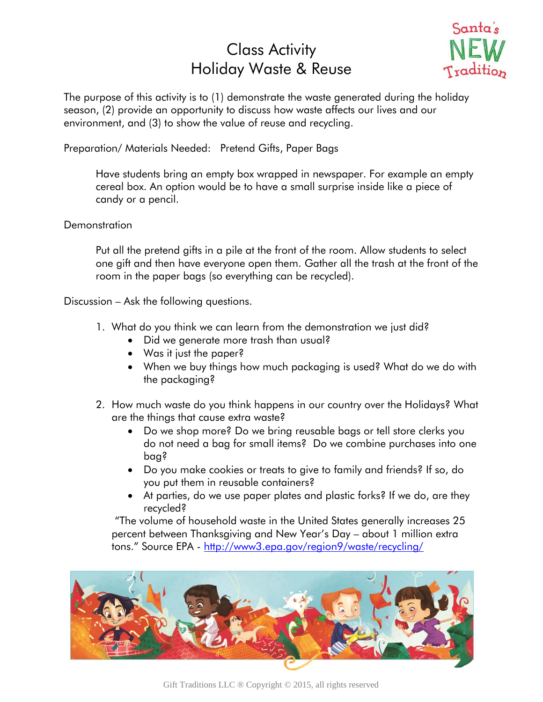## Class Activity Holiday Waste & Reuse



The purpose of this activity is to (1) demonstrate the waste generated during the holiday season, (2) provide an opportunity to discuss how waste affects our lives and our environment, and (3) to show the value of reuse and recycling.

Preparation/ Materials Needed: Pretend Gifts, Paper Bags

Have students bring an empty box wrapped in newspaper. For example an empty cereal box. An option would be to have a small surprise inside like a piece of candy or a pencil.

## **Demonstration**

Put all the pretend gifts in a pile at the front of the room. Allow students to select one gift and then have everyone open them. Gather all the trash at the front of the room in the paper bags (so everything can be recycled).

Discussion – Ask the following questions.

- 1. What do you think we can learn from the demonstration we just did?
	- Did we generate more trash than usual?
	- Was it just the paper?
	- When we buy things how much packaging is used? What do we do with the packaging?
- 2. How much waste do you think happens in our country over the Holidays? What are the things that cause extra waste?
	- Do we shop more? Do we bring reusable bags or tell store clerks you do not need a bag for small items? Do we combine purchases into one bag?
	- Do you make cookies or treats to give to family and friends? If so, do you put them in reusable containers?
	- At parties, do we use paper plates and plastic forks? If we do, are they recycled?

"The volume of household waste in the United States generally increases 25 percent between Thanksgiving and New Year's Day – about 1 million extra tons." Source EPA - <http://www3.epa.gov/region9/waste/recycling/>



Gift Traditions LLC ® Copyright © 2015, all rights reserved